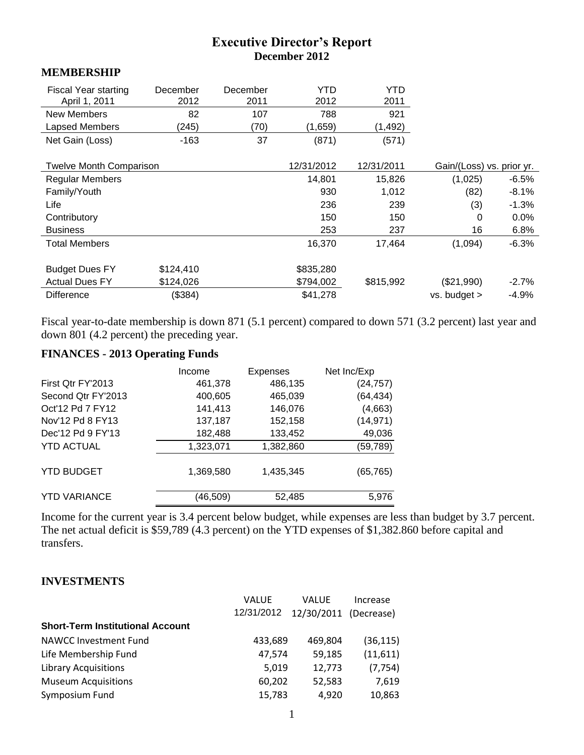## **Executive Director's Report December 2012**

#### **MEMBERSHIP**

| <b>Fiscal Year starting</b><br>April 1, 2011 | December<br>2012 | December<br>2011 | YTD<br>2012 | YTD<br>2011 |                           |         |
|----------------------------------------------|------------------|------------------|-------------|-------------|---------------------------|---------|
| New Members                                  | 82               | 107              | 788         | 921         |                           |         |
| Lapsed Members                               | (245)            | (70)             | (1,659)     | (1, 492)    |                           |         |
| Net Gain (Loss)                              | $-163$           | 37               | (871)       | (571)       |                           |         |
|                                              |                  |                  |             |             |                           |         |
| <b>Twelve Month Comparison</b>               |                  |                  | 12/31/2012  | 12/31/2011  | Gain/(Loss) vs. prior yr. |         |
| <b>Regular Members</b>                       |                  |                  | 14,801      | 15,826      | (1,025)                   | $-6.5%$ |
| Family/Youth                                 |                  |                  | 930         | 1,012       | (82)                      | $-8.1%$ |
| Life                                         |                  |                  | 236         | 239         | (3)                       | $-1.3%$ |
| Contributory                                 |                  |                  | 150         | 150         | 0                         | $0.0\%$ |
| <b>Business</b>                              |                  |                  | 253         | 237         | 16                        | 6.8%    |
| <b>Total Members</b>                         |                  |                  | 16,370      | 17,464      | (1,094)                   | $-6.3%$ |
|                                              |                  |                  |             |             |                           |         |
| <b>Budget Dues FY</b>                        | \$124,410        |                  | \$835,280   |             |                           |         |
| <b>Actual Dues FY</b>                        | \$124,026        |                  | \$794,002   | \$815,992   | (\$21,990)                | $-2.7%$ |
| <b>Difference</b>                            | (\$384)          |                  | \$41,278    |             | vs. budget >              | $-4.9%$ |

Fiscal year-to-date membership is down 871 (5.1 percent) compared to down 571 (3.2 percent) last year and down 801 (4.2 percent) the preceding year.

## **FINANCES - 2013 Operating Funds**

|                     | Income    | <b>Expenses</b> | Net Inc/Exp |
|---------------------|-----------|-----------------|-------------|
| First Qtr FY'2013   | 461,378   | 486,135         | (24, 757)   |
| Second Qtr FY'2013  | 400,605   | 465,039         | (64, 434)   |
| Oct'12 Pd 7 FY12    | 141,413   | 146,076         | (4,663)     |
| Nov'12 Pd 8 FY13    | 137,187   | 152,158         | (14, 971)   |
| Dec'12 Pd 9 FY'13   | 182,488   | 133,452         | 49,036      |
| <b>YTD ACTUAL</b>   | 1,323,071 | 1,382,860       | (59,789)    |
| <b>YTD BUDGET</b>   | 1,369,580 | 1,435,345       | (65, 765)   |
| <b>YTD VARIANCE</b> | (46,509)  | 52,485          | 5,976       |

Income for the current year is 3.4 percent below budget, while expenses are less than budget by 3.7 percent. The net actual deficit is \$59,789 (4.3 percent) on the YTD expenses of \$1,382.860 before capital and transfers.

#### **INVESTMENTS**

|                                         | <b>VALUE</b> | VALUE                 | Increase  |
|-----------------------------------------|--------------|-----------------------|-----------|
|                                         | 12/31/2012   | 12/30/2011 (Decrease) |           |
| <b>Short-Term Institutional Account</b> |              |                       |           |
| NAWCC Investment Fund                   | 433,689      | 469,804               | (36, 115) |
| Life Membership Fund                    | 47.574       | 59,185                | (11,611)  |
| <b>Library Acquisitions</b>             | 5,019        | 12,773                | (7, 754)  |
| <b>Museum Acquisitions</b>              | 60,202       | 52,583                | 7,619     |
| Symposium Fund                          | 15,783       | 4,920                 | 10,863    |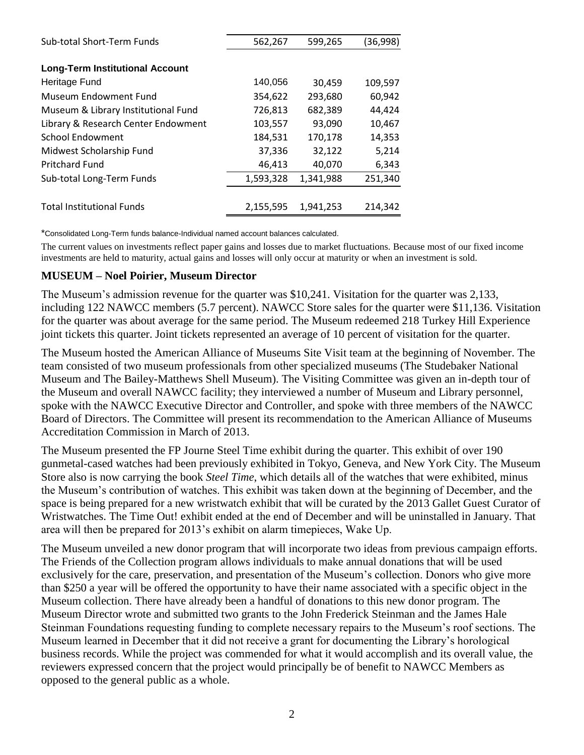| Sub-total Short-Term Funds             | 562,267   | 599,265   | (36,998) |
|----------------------------------------|-----------|-----------|----------|
| <b>Long-Term Institutional Account</b> |           |           |          |
| Heritage Fund                          | 140,056   | 30,459    | 109,597  |
| Museum Endowment Fund                  | 354,622   | 293,680   | 60,942   |
| Museum & Library Institutional Fund    | 726,813   | 682,389   | 44,424   |
| Library & Research Center Endowment    | 103,557   | 93,090    | 10,467   |
| School Endowment                       | 184,531   | 170,178   | 14,353   |
| Midwest Scholarship Fund               | 37,336    | 32,122    | 5,214    |
| <b>Pritchard Fund</b>                  | 46,413    | 40,070    | 6,343    |
| Sub-total Long-Term Funds              | 1,593,328 | 1,341,988 | 251,340  |
|                                        |           |           |          |
| <b>Total Institutional Funds</b>       | 2,155,595 | 1,941,253 | 214,342  |
|                                        |           |           |          |

\*Consolidated Long-Term funds balance-Individual named account balances calculated.

The current values on investments reflect paper gains and losses due to market fluctuations. Because most of our fixed income investments are held to maturity, actual gains and losses will only occur at maturity or when an investment is sold.

#### **MUSEUM – Noel Poirier, Museum Director**

The Museum's admission revenue for the quarter was \$10,241. Visitation for the quarter was 2,133, including 122 NAWCC members (5.7 percent). NAWCC Store sales for the quarter were \$11,136. Visitation for the quarter was about average for the same period. The Museum redeemed 218 Turkey Hill Experience joint tickets this quarter. Joint tickets represented an average of 10 percent of visitation for the quarter.

The Museum hosted the American Alliance of Museums Site Visit team at the beginning of November. The team consisted of two museum professionals from other specialized museums (The Studebaker National Museum and The Bailey-Matthews Shell Museum). The Visiting Committee was given an in-depth tour of the Museum and overall NAWCC facility; they interviewed a number of Museum and Library personnel, spoke with the NAWCC Executive Director and Controller, and spoke with three members of the NAWCC Board of Directors. The Committee will present its recommendation to the American Alliance of Museums Accreditation Commission in March of 2013.

The Museum presented the FP Journe Steel Time exhibit during the quarter. This exhibit of over 190 gunmetal-cased watches had been previously exhibited in Tokyo, Geneva, and New York City. The Museum Store also is now carrying the book *Steel Time*, which details all of the watches that were exhibited, minus the Museum's contribution of watches. This exhibit was taken down at the beginning of December, and the space is being prepared for a new wristwatch exhibit that will be curated by the 2013 Gallet Guest Curator of Wristwatches. The Time Out! exhibit ended at the end of December and will be uninstalled in January. That area will then be prepared for 2013's exhibit on alarm timepieces, Wake Up.

The Museum unveiled a new donor program that will incorporate two ideas from previous campaign efforts. The Friends of the Collection program allows individuals to make annual donations that will be used exclusively for the care, preservation, and presentation of the Museum's collection. Donors who give more than \$250 a year will be offered the opportunity to have their name associated with a specific object in the Museum collection. There have already been a handful of donations to this new donor program. The Museum Director wrote and submitted two grants to the John Frederick Steinman and the James Hale Steinman Foundations requesting funding to complete necessary repairs to the Museum's roof sections. The Museum learned in December that it did not receive a grant for documenting the Library's horological business records. While the project was commended for what it would accomplish and its overall value, the reviewers expressed concern that the project would principally be of benefit to NAWCC Members as opposed to the general public as a whole.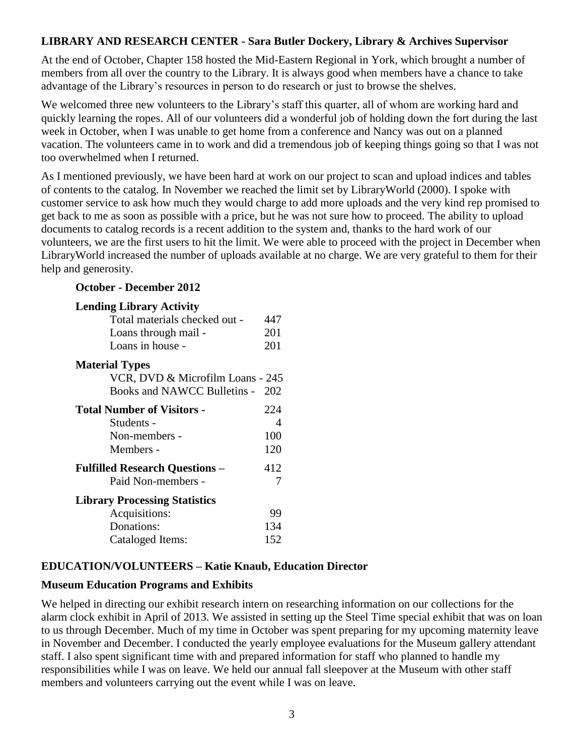## **LIBRARY AND RESEARCH CENTER - Sara Butler Dockery, Library & Archives Supervisor**

At the end of October, Chapter 158 hosted the Mid-Eastern Regional in York, which brought a number of members from all over the country to the Library. It is always good when members have a chance to take advantage of the Library's resources in person to do research or just to browse the shelves.

We welcomed three new volunteers to the Library's staff this quarter, all of whom are working hard and quickly learning the ropes. All of our volunteers did a wonderful job of holding down the fort during the last week in October, when I was unable to get home from a conference and Nancy was out on a planned vacation. The volunteers came in to work and did a tremendous job of keeping things going so that I was not too overwhelmed when I returned.

As I mentioned previously, we have been hard at work on our project to scan and upload indices and tables of contents to the catalog. In November we reached the limit set by LibraryWorld (2000). I spoke with customer service to ask how much they would charge to add more uploads and the very kind rep promised to get back to me as soon as possible with a price, but he was not sure how to proceed. The ability to upload documents to catalog records is a recent addition to the system and, thanks to the hard work of our volunteers, we are the first users to hit the limit. We were able to proceed with the project in December when LibraryWorld increased the number of uploads available at no charge. We are very grateful to them for their help and generosity.

#### **October - December 2012**

| <b>Lending Library Activity</b>       |     |
|---------------------------------------|-----|
| Total materials checked out -         | 447 |
| Loans through mail -                  | 201 |
| Loans in house -                      | 201 |
| <b>Material Types</b>                 |     |
| VCR, DVD & Microfilm Loans - 245      |     |
| Books and NAWCC Bulletins - 202       |     |
| <b>Total Number of Visitors -</b>     | 224 |
| Students -                            | 4   |
| Non-members -                         | 100 |
| Members -                             | 120 |
| <b>Fulfilled Research Questions -</b> | 412 |
| Paid Non-members -                    | 7   |
| <b>Library Processing Statistics</b>  |     |
| Acquisitions:                         | 99  |
| Donations:                            | 134 |
| Cataloged Items:                      | 152 |

### **EDUCATION/VOLUNTEERS – Katie Knaub, Education Director**

### **Museum Education Programs and Exhibits**

We helped in directing our exhibit research intern on researching information on our collections for the alarm clock exhibit in April of 2013. We assisted in setting up the Steel Time special exhibit that was on loan to us through December. Much of my time in October was spent preparing for my upcoming maternity leave in November and December. I conducted the yearly employee evaluations for the Museum gallery attendant staff. I also spent significant time with and prepared information for staff who planned to handle my responsibilities while I was on leave. We held our annual fall sleepover at the Museum with other staff members and volunteers carrying out the event while I was on leave.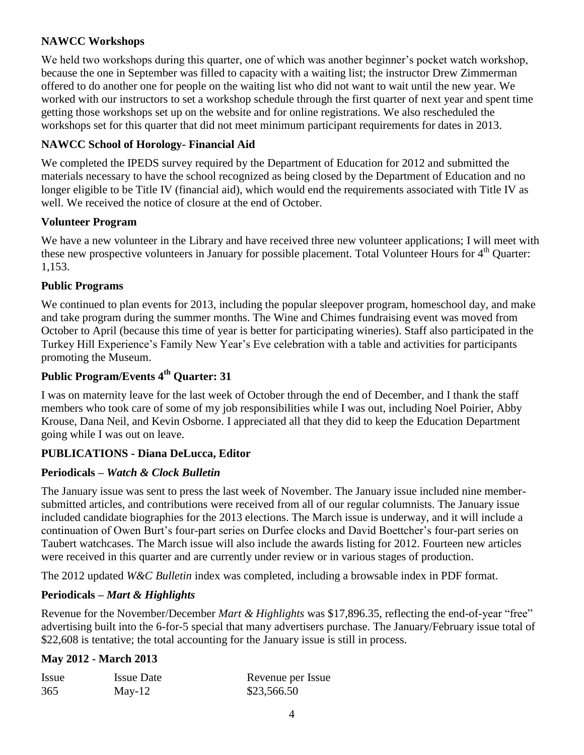## **NAWCC Workshops**

We held two workshops during this quarter, one of which was another beginner's pocket watch workshop, because the one in September was filled to capacity with a waiting list; the instructor Drew Zimmerman offered to do another one for people on the waiting list who did not want to wait until the new year. We worked with our instructors to set a workshop schedule through the first quarter of next year and spent time getting those workshops set up on the website and for online registrations. We also rescheduled the workshops set for this quarter that did not meet minimum participant requirements for dates in 2013.

## **NAWCC School of Horology- Financial Aid**

We completed the IPEDS survey required by the Department of Education for 2012 and submitted the materials necessary to have the school recognized as being closed by the Department of Education and no longer eligible to be Title IV (financial aid), which would end the requirements associated with Title IV as well. We received the notice of closure at the end of October.

### **Volunteer Program**

We have a new volunteer in the Library and have received three new volunteer applications; I will meet with these new prospective volunteers in January for possible placement. Total Volunteer Hours for 4<sup>th</sup> Quarter: 1,153.

## **Public Programs**

We continued to plan events for 2013, including the popular sleepover program, homeschool day, and make and take program during the summer months. The Wine and Chimes fundraising event was moved from October to April (because this time of year is better for participating wineries). Staff also participated in the Turkey Hill Experience's Family New Year's Eve celebration with a table and activities for participants promoting the Museum.

# **Public Program/Events 4th Quarter: 31**

I was on maternity leave for the last week of October through the end of December, and I thank the staff members who took care of some of my job responsibilities while I was out, including Noel Poirier, Abby Krouse, Dana Neil, and Kevin Osborne. I appreciated all that they did to keep the Education Department going while I was out on leave.

## **PUBLICATIONS - Diana DeLucca, Editor**

## **Periodicals –** *Watch & Clock Bulletin*

The January issue was sent to press the last week of November. The January issue included nine membersubmitted articles, and contributions were received from all of our regular columnists. The January issue included candidate biographies for the 2013 elections. The March issue is underway, and it will include a continuation of Owen Burt's four-part series on Durfee clocks and David Boettcher's four-part series on Taubert watchcases. The March issue will also include the awards listing for 2012. Fourteen new articles were received in this quarter and are currently under review or in various stages of production.

The 2012 updated *W&C Bulletin* index was completed, including a browsable index in PDF format.

### **Periodicals –** *Mart & Highlights*

Revenue for the November/December *Mart & Highlights* was \$17,896.35, reflecting the end-of-year "free" advertising built into the 6-for-5 special that many advertisers purchase. The January/February issue total of \$22,608 is tentative; the total accounting for the January issue is still in process.

#### **May 2012 - March 2013**

| Issue | <b>Issue Date</b> | Revenue per Issue |
|-------|-------------------|-------------------|
| 365   | May-12            | \$23,566.50       |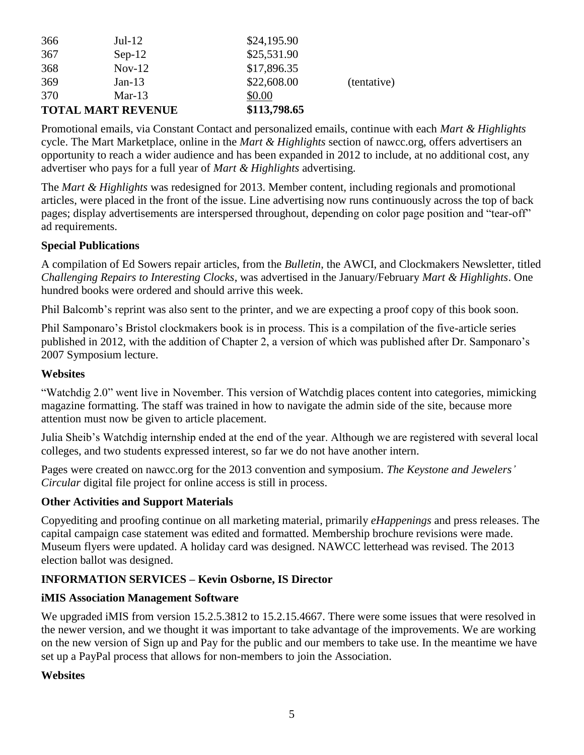| <b>TOTAL MART REVENUE</b> |          | \$113,798.65 |             |
|---------------------------|----------|--------------|-------------|
| 370                       | Mar-13   | \$0.00       |             |
| 369                       | $Jan-13$ | \$22,608.00  | (tentative) |
| 368                       | $Nov-12$ | \$17,896.35  |             |
| 367                       | $Sep-12$ | \$25,531.90  |             |
| 366                       | $Jul-12$ | \$24,195.90  |             |

Promotional emails, via Constant Contact and personalized emails, continue with each *Mart & Highlights* cycle. The Mart Marketplace, online in the *Mart & Highlights* section of nawcc.org, offers advertisers an opportunity to reach a wider audience and has been expanded in 2012 to include, at no additional cost, any advertiser who pays for a full year of *Mart & Highlights* advertising.

The *Mart & Highlights* was redesigned for 2013. Member content, including regionals and promotional articles, were placed in the front of the issue. Line advertising now runs continuously across the top of back pages; display advertisements are interspersed throughout, depending on color page position and "tear-off" ad requirements.

## **Special Publications**

A compilation of Ed Sowers repair articles, from the *Bulletin*, the AWCI, and Clockmakers Newsletter, titled *Challenging Repairs to Interesting Clocks*, was advertised in the January/February *Mart & Highlights*. One hundred books were ordered and should arrive this week.

Phil Balcomb's reprint was also sent to the printer, and we are expecting a proof copy of this book soon.

Phil Samponaro's Bristol clockmakers book is in process. This is a compilation of the five-article series published in 2012, with the addition of Chapter 2, a version of which was published after Dr. Samponaro's 2007 Symposium lecture.

#### **Websites**

"Watchdig 2.0" went live in November. This version of Watchdig places content into categories, mimicking magazine formatting. The staff was trained in how to navigate the admin side of the site, because more attention must now be given to article placement.

Julia Sheib's Watchdig internship ended at the end of the year. Although we are registered with several local colleges, and two students expressed interest, so far we do not have another intern.

Pages were created on nawcc.org for the 2013 convention and symposium. *The Keystone and Jewelers' Circular* digital file project for online access is still in process.

### **Other Activities and Support Materials**

Copyediting and proofing continue on all marketing material, primarily *eHappenings* and press releases. The capital campaign case statement was edited and formatted. Membership brochure revisions were made. Museum flyers were updated. A holiday card was designed. NAWCC letterhead was revised. The 2013 election ballot was designed.

### **INFORMATION SERVICES – Kevin Osborne, IS Director**

### **iMIS Association Management Software**

We upgraded iMIS from version 15.2.5.3812 to 15.2.15.4667. There were some issues that were resolved in the newer version, and we thought it was important to take advantage of the improvements. We are working on the new version of Sign up and Pay for the public and our members to take use. In the meantime we have set up a PayPal process that allows for non-members to join the Association.

### **Websites**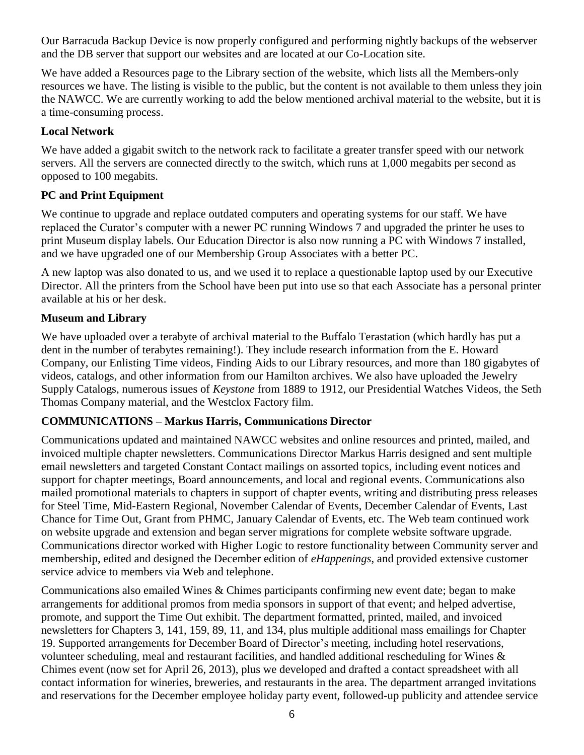Our Barracuda Backup Device is now properly configured and performing nightly backups of the webserver and the DB server that support our websites and are located at our Co-Location site.

We have added a Resources page to the Library section of the website, which lists all the Members-only resources we have. The listing is visible to the public, but the content is not available to them unless they join the NAWCC. We are currently working to add the below mentioned archival material to the website, but it is a time-consuming process.

### **Local Network**

We have added a gigabit switch to the network rack to facilitate a greater transfer speed with our network servers. All the servers are connected directly to the switch, which runs at 1,000 megabits per second as opposed to 100 megabits.

## **PC and Print Equipment**

We continue to upgrade and replace outdated computers and operating systems for our staff. We have replaced the Curator's computer with a newer PC running Windows 7 and upgraded the printer he uses to print Museum display labels. Our Education Director is also now running a PC with Windows 7 installed, and we have upgraded one of our Membership Group Associates with a better PC.

A new laptop was also donated to us, and we used it to replace a questionable laptop used by our Executive Director. All the printers from the School have been put into use so that each Associate has a personal printer available at his or her desk.

## **Museum and Library**

We have uploaded over a terabyte of archival material to the Buffalo Terastation (which hardly has put a dent in the number of terabytes remaining!). They include research information from the E. Howard Company, our Enlisting Time videos, Finding Aids to our Library resources, and more than 180 gigabytes of videos, catalogs, and other information from our Hamilton archives. We also have uploaded the Jewelry Supply Catalogs, numerous issues of *Keystone* from 1889 to 1912, our Presidential Watches Videos, the Seth Thomas Company material, and the Westclox Factory film.

## **COMMUNICATIONS – Markus Harris, Communications Director**

Communications updated and maintained NAWCC websites and online resources and printed, mailed, and invoiced multiple chapter newsletters. Communications Director Markus Harris designed and sent multiple email newsletters and targeted Constant Contact mailings on assorted topics, including event notices and support for chapter meetings, Board announcements, and local and regional events. Communications also mailed promotional materials to chapters in support of chapter events, writing and distributing press releases for Steel Time, Mid-Eastern Regional, November Calendar of Events, December Calendar of Events, Last Chance for Time Out, Grant from PHMC, January Calendar of Events, etc. The Web team continued work on website upgrade and extension and began server migrations for complete website software upgrade. Communications director worked with Higher Logic to restore functionality between Community server and membership, edited and designed the December edition of *eHappenings*, and provided extensive customer service advice to members via Web and telephone.

Communications also emailed Wines & Chimes participants confirming new event date; began to make arrangements for additional promos from media sponsors in support of that event; and helped advertise, promote, and support the Time Out exhibit. The department formatted, printed, mailed, and invoiced newsletters for Chapters 3, 141, 159, 89, 11, and 134, plus multiple additional mass emailings for Chapter 19. Supported arrangements for December Board of Director's meeting, including hotel reservations, volunteer scheduling, meal and restaurant facilities, and handled additional rescheduling for Wines & Chimes event (now set for April 26, 2013), plus we developed and drafted a contact spreadsheet with all contact information for wineries, breweries, and restaurants in the area. The department arranged invitations and reservations for the December employee holiday party event, followed-up publicity and attendee service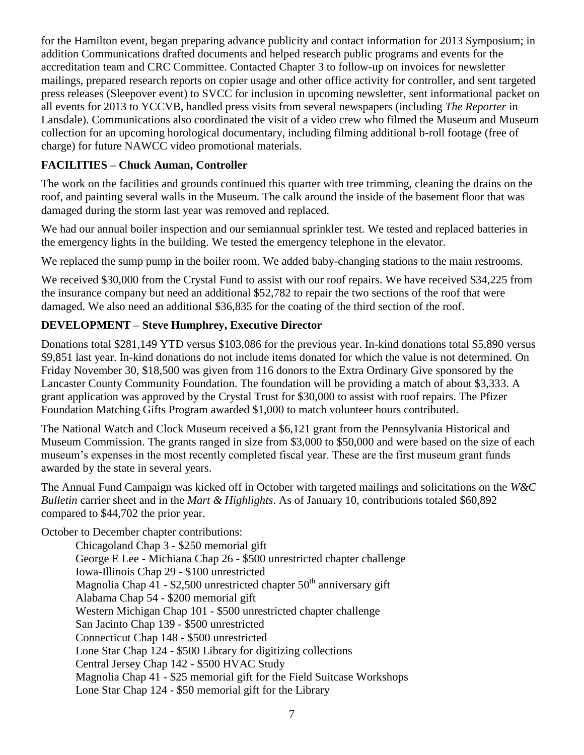for the Hamilton event, began preparing advance publicity and contact information for 2013 Symposium; in addition Communications drafted documents and helped research public programs and events for the accreditation team and CRC Committee. Contacted Chapter 3 to follow-up on invoices for newsletter mailings, prepared research reports on copier usage and other office activity for controller, and sent targeted press releases (Sleepover event) to SVCC for inclusion in upcoming newsletter, sent informational packet on all events for 2013 to YCCVB, handled press visits from several newspapers (including *The Reporter* in Lansdale). Communications also coordinated the visit of a video crew who filmed the Museum and Museum collection for an upcoming horological documentary, including filming additional b-roll footage (free of charge) for future NAWCC video promotional materials.

## **FACILITIES – Chuck Auman, Controller**

The work on the facilities and grounds continued this quarter with tree trimming, cleaning the drains on the roof, and painting several walls in the Museum. The calk around the inside of the basement floor that was damaged during the storm last year was removed and replaced.

We had our annual boiler inspection and our semiannual sprinkler test. We tested and replaced batteries in the emergency lights in the building. We tested the emergency telephone in the elevator.

We replaced the sump pump in the boiler room. We added baby-changing stations to the main restrooms.

We received \$30,000 from the Crystal Fund to assist with our roof repairs. We have received \$34,225 from the insurance company but need an additional \$52,782 to repair the two sections of the roof that were damaged. We also need an additional \$36,835 for the coating of the third section of the roof.

## **DEVELOPMENT – Steve Humphrey, Executive Director**

Donations total \$281,149 YTD versus \$103,086 for the previous year. In-kind donations total \$5,890 versus \$9,851 last year. In-kind donations do not include items donated for which the value is not determined. On Friday November 30, \$18,500 was given from 116 donors to the Extra Ordinary Give sponsored by the Lancaster County Community Foundation. The foundation will be providing a match of about \$3,333. A grant application was approved by the Crystal Trust for \$30,000 to assist with roof repairs. The Pfizer Foundation Matching Gifts Program awarded \$1,000 to match volunteer hours contributed.

The National Watch and Clock Museum received a \$6,121 grant from the Pennsylvania Historical and Museum Commission. The grants ranged in size from \$3,000 to \$50,000 and were based on the size of each museum's expenses in the most recently completed fiscal year. These are the first museum grant funds awarded by the state in several years.

The Annual Fund Campaign was kicked off in October with targeted mailings and solicitations on the *W&C Bulletin* carrier sheet and in the *Mart & Highlights*. As of January 10, contributions totaled \$60,892 compared to \$44,702 the prior year.

October to December chapter contributions:

Chicagoland Chap 3 - \$250 memorial gift George E Lee - Michiana Chap 26 - \$500 unrestricted chapter challenge Iowa-Illinois Chap 29 - \$100 unrestricted Magnolia Chap  $\overline{41}$  - \$2,500 unrestricted chapter 50<sup>th</sup> anniversary gift Alabama Chap 54 - \$200 memorial gift Western Michigan Chap 101 - \$500 unrestricted chapter challenge San Jacinto Chap 139 - \$500 unrestricted Connecticut Chap 148 - \$500 unrestricted Lone Star Chap 124 - \$500 Library for digitizing collections Central Jersey Chap 142 - \$500 HVAC Study Magnolia Chap 41 - \$25 memorial gift for the Field Suitcase Workshops Lone Star Chap 124 - \$50 memorial gift for the Library